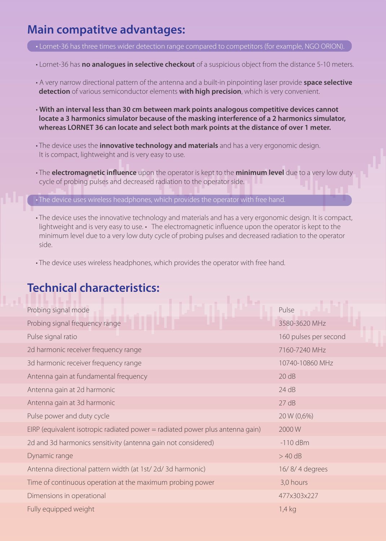### **Main compatitve advantages:**

• Lornet-36 has **no analogues in selective checkout** of a suspicious object from the distance 5-10 meters.

- A very narrow directional pattern of the antenna and a built-in pinpointing laser provide **space selective detection** of various semiconductor elements **with high precision**, which is very convenient.
- **With an interval less than 30 cm between mark points analogous competitive devices cannot locate a 3 harmonics simulator because of the masking interference of a 2 harmonics simulator, whereas LORNET 36 can locate and select both mark points at the distance of over 1 meter.**
- The device uses the **innovative technology and materials** and has a very ergonomic design. It is compact, lightweight and is very easy to use.
- The **electromagnetic influence** upon the operator is kept to the **minimum level** due to a very low duty cycle of probing pulses and decreased radiation to the operator side.

• The device uses wireless headphones, which provides the operator with free hand.

- The device uses the innovative technology and materials and has a very ergonomic design. It is compact, lightweight and is very easy to use. • The electromagnetic influence upon the operator is kept to the minimum level due to a very low duty cycle of probing pulses and decreased radiation to the operator side.
- The device uses wireless headphones, which provides the operator with free hand.

#### **Technical characteristics:**

| Probing signal mode                                                           | Pulse                 |
|-------------------------------------------------------------------------------|-----------------------|
| Probing signal frequency range                                                | 3580-3620 MHz         |
| Pulse signal ratio                                                            | 160 pulses per second |
| 2d harmonic receiver frequency range                                          | 7160-7240 MHz         |
| 3d harmonic receiver frequency range                                          | 10740-10860 MHz       |
| Antenna gain at fundamental frequency                                         | 20 dB                 |
| Antenna gain at 2d harmonic                                                   | 24 dB                 |
| Antenna gain at 3d harmonic                                                   | 27 dB                 |
| Pulse power and duty cycle                                                    | 20 W (0,6%)           |
| EIRP (equivalent isotropic radiated power = radiated power plus antenna gain) | 2000W                 |
| 2d and 3d harmonics sensitivity (antenna gain not considered)                 | $-110$ dBm            |
| Dynamic range                                                                 | $>$ 40 dB             |
| Antenna directional pattern width (at 1st/ 2d/ 3d harmonic)                   | 16/8/4 degrees        |
| Time of continuous operation at the maximum probing power                     | 3,0 hours             |
| Dimensions in operational                                                     | 477x303x227           |
| Fully equipped weight                                                         | $1.4$ kg              |